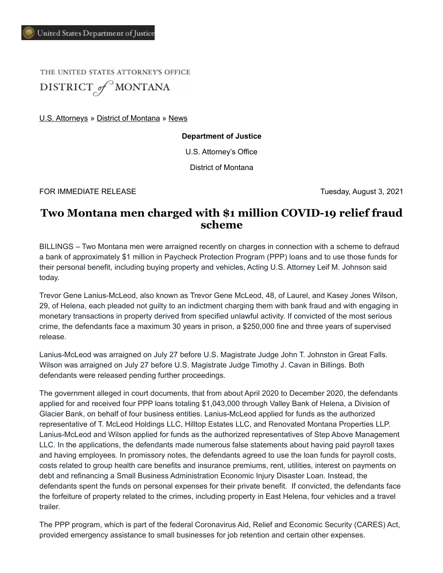THE UNITED STATES ATTORNEY'S OFFICE DISTRICT of MONTANA

[U.S. Attorneys](https://www.justice.gov/usao) » [District of Montana](https://www.justice.gov/usao-mt) » [News](https://www.justice.gov/usao-mt/pr)

**Department of Justice**

U.S. Attorney's Office

District of Montana

FOR IMMEDIATE RELEASE Tuesday, August 3, 2021

## **Two Montana men charged with \$1 million COVID-19 relief fraud scheme**

BILLINGS – Two Montana men were arraigned recently on charges in connection with a scheme to defraud a bank of approximately \$1 million in Paycheck Protection Program (PPP) loans and to use those funds for their personal benefit, including buying property and vehicles, Acting U.S. Attorney Leif M. Johnson said today.

Trevor Gene Lanius-McLeod, also known as Trevor Gene McLeod, 48, of Laurel, and Kasey Jones Wilson, 29, of Helena, each pleaded not guilty to an indictment charging them with bank fraud and with engaging in monetary transactions in property derived from specified unlawful activity. If convicted of the most serious crime, the defendants face a maximum 30 years in prison, a \$250,000 fine and three years of supervised release.

Lanius-McLeod was arraigned on July 27 before U.S. Magistrate Judge John T. Johnston in Great Falls. Wilson was arraigned on July 27 before U.S. Magistrate Judge Timothy J. Cavan in Billings. Both defendants were released pending further proceedings.

The government alleged in court documents, that from about April 2020 to December 2020, the defendants applied for and received four PPP loans totaling \$1,043,000 through Valley Bank of Helena, a Division of Glacier Bank, on behalf of four business entities. Lanius-McLeod applied for funds as the authorized representative of T. McLeod Holdings LLC, Hilltop Estates LLC, and Renovated Montana Properties LLP. Lanius-McLeod and Wilson applied for funds as the authorized representatives of Step Above Management LLC. In the applications, the defendants made numerous false statements about having paid payroll taxes and having employees. In promissory notes, the defendants agreed to use the loan funds for payroll costs, costs related to group health care benefits and insurance premiums, rent, utilities, interest on payments on debt and refinancing a Small Business Administration Economic Injury Disaster Loan. Instead, the defendants spent the funds on personal expenses for their private benefit. If convicted, the defendants face the forfeiture of property related to the crimes, including property in East Helena, four vehicles and a travel trailer.

The PPP program, which is part of the federal Coronavirus Aid, Relief and Economic Security (CARES) Act, provided emergency assistance to small businesses for job retention and certain other expenses.